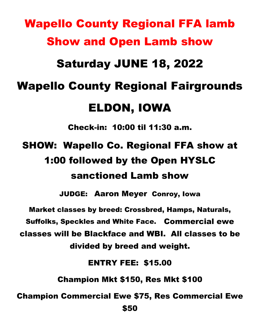# Wapello County Regional FFA lamb Show and Open Lamb show Saturday JUNE 18, 2022 Wapello County Regional Fairgrounds ELDON, IOWA Check-in: 10:00 til 11:30 a.m. SHOW: Wapello Co. Regional FFA show at

## 1:00 followed by the Open HYSLC sanctioned Lamb show

JUDGE: Aaron Meyer Conroy, Iowa

Market classes by breed: Crossbred, Hamps, Naturals, Suffolks, Speckles and White Face. Commercial ewe classes will be Blackface and WBI. All classes to be divided by breed and weight.

ENTRY FEE: \$15.00

Champion Mkt \$150, Res Mkt \$100

Champion Commercial Ewe \$75, Res Commercial Ewe